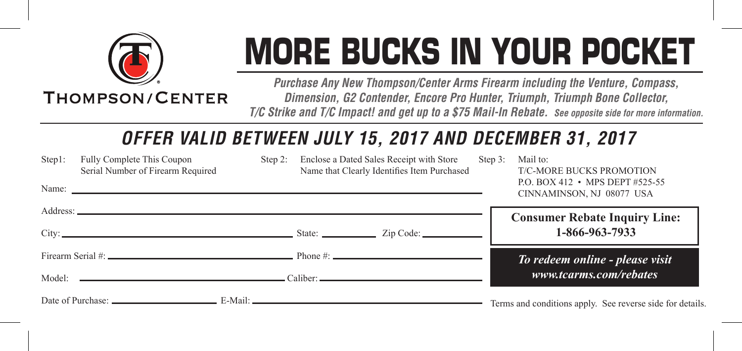

THOMPSON/CENTER

## **MORE BUCKS IN YOUR POCKET**

*Purchase Any New Thompson/Center Arms Firearm including the Venture, Compass, Dimension, G2 Contender, Encore Pro Hunter, Triumph, Triumph Bone Collector, T/C Strike and T/C Impact! and get up to a \$75 Mail-In Rebate. See opposite side for more information.*

## *OFfer Valid Between July 15, 2017 and DECEMBER 31, 2017*

Step1: Fully Complete This Coupon Serial Number of Firearm Required

Name:

- - Step 2: Enclose a Dated Sales Receipt with Store Name that Clearly Identifies Item Purchased

Step 3: Mail to:

 T/C-MORE BUCKS PROMOTION P.O. BOX 412 • MPS DEPT #525-55 CINNAMINSON, NJ 08077 USA

|                          |  | <b>Consumer Rebate Inquiry Line:</b><br>1-866-963-7933    |  |
|--------------------------|--|-----------------------------------------------------------|--|
| Firearm Serial #: $\Box$ |  | To redeem online - please visit                           |  |
|                          |  | www.tcarms.com/rebates                                    |  |
|                          |  | Terms and conditions apply. See reverse side for details. |  |